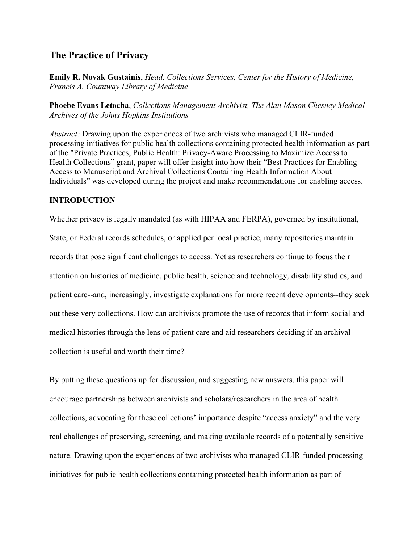### **The Practice of Privacy**

**Emily R. Novak Gustainis**, *Head, Collections Services, Center for the History of Medicine, Francis A. Countway Library of Medicine*

**Phoebe Evans Letocha**, *Collections Management Archivist, The Alan Mason Chesney Medical Archives of the Johns Hopkins Institutions*

*Abstract:* Drawing upon the experiences of two archivists who managed CLIR-funded processing initiatives for public health collections containing protected health information as part of the "Private Practices, Public Health: Privacy-Aware Processing to Maximize Access to Health Collections" grant, paper will offer insight into how their "Best Practices for Enabling Access to Manuscript and Archival Collections Containing Health Information About Individuals" was developed during the project and make recommendations for enabling access.

### **INTRODUCTION**

Whether privacy is legally mandated (as with HIPAA and FERPA), governed by institutional,

State, or Federal records schedules, or applied per local practice, many repositories maintain records that pose significant challenges to access. Yet as researchers continue to focus their attention on histories of medicine, public health, science and technology, disability studies, and patient care--and, increasingly, investigate explanations for more recent developments--they seek out these very collections. How can archivists promote the use of records that inform social and medical histories through the lens of patient care and aid researchers deciding if an archival collection is useful and worth their time?

By putting these questions up for discussion, and suggesting new answers, this paper will encourage partnerships between archivists and scholars/researchers in the area of health collections, advocating for these collections' importance despite "access anxiety" and the very real challenges of preserving, screening, and making available records of a potentially sensitive nature. Drawing upon the experiences of two archivists who managed CLIR-funded processing initiatives for public health collections containing protected health information as part of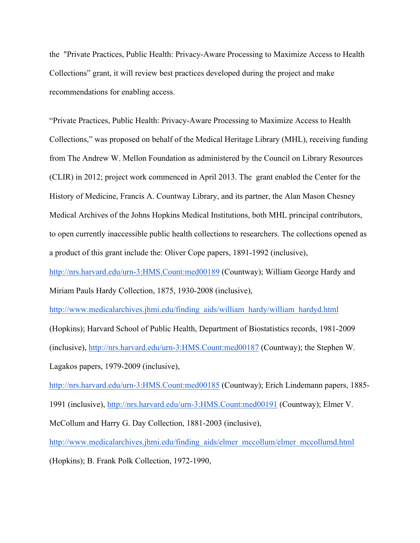the "Private Practices, Public Health: Privacy-Aware Processing to Maximize Access to Health Collections" grant, it will review best practices developed during the project and make recommendations for enabling access.

"Private Practices, Public Health: Privacy-Aware Processing to Maximize Access to Health Collections," was proposed on behalf of the Medical Heritage Library (MHL), receiving funding from The Andrew W. Mellon Foundation as administered by the Council on Library Resources (CLIR) in 2012; project work commenced in April 2013. The grant enabled the Center for the History of Medicine, Francis A. Countway Library, and its partner, the Alan Mason Chesney Medical Archives of the Johns Hopkins Medical Institutions, both MHL principal contributors, to open currently inaccessible public health collections to researchers. The collections opened as a product of this grant include the: Oliver Cope papers, 1891-1992 (inclusive),

http://nrs.harvard.edu/urn-3:HMS.Count:med00189 (Countway); William George Hardy and Miriam Pauls Hardy Collection, 1875, 1930-2008 (inclusive),

http://www.medicalarchives.jhmi.edu/finding\_aids/william\_hardy/william\_hardyd.html (Hopkins); Harvard School of Public Health, Department of Biostatistics records, 1981-2009 (inclusive), http://nrs.harvard.edu/urn-3:HMS.Count:med00187 (Countway); the Stephen W. Lagakos papers, 1979-2009 (inclusive),

http://nrs.harvard.edu/urn-3:HMS.Count:med00185 (Countway); Erich Lindemann papers, 1885- 1991 (inclusive), http://nrs.harvard.edu/urn-3:HMS.Count:med00191 (Countway); Elmer V. McCollum and Harry G. Day Collection, 1881-2003 (inclusive), http://www.medicalarchives.jhmi.edu/finding\_aids/elmer\_mccollum/elmer\_mccollumd.html

(Hopkins); B. Frank Polk Collection, 1972-1990,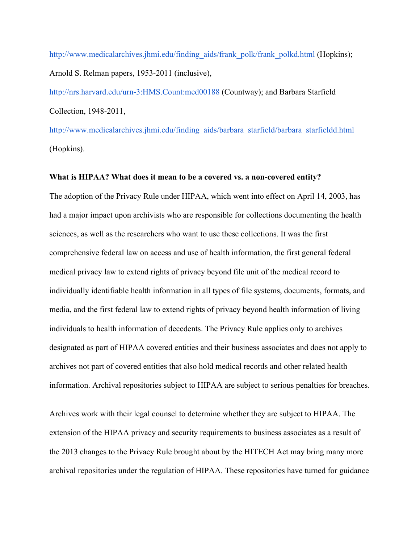http://www.medicalarchives.jhmi.edu/finding\_aids/frank\_polk/frank\_polkd.html (Hopkins); Arnold S. Relman papers, 1953-2011 (inclusive),

http://nrs.harvard.edu/urn-3:HMS.Count:med00188 (Countway); and Barbara Starfield Collection, 1948-2011,

http://www.medicalarchives.jhmi.edu/finding\_aids/barbara\_starfield/barbara\_starfieldd.html (Hopkins).

### **What is HIPAA? What does it mean to be a covered vs. a non-covered entity?**

The adoption of the Privacy Rule under HIPAA, which went into effect on April 14, 2003, has had a major impact upon archivists who are responsible for collections documenting the health sciences, as well as the researchers who want to use these collections. It was the first comprehensive federal law on access and use of health information, the first general federal medical privacy law to extend rights of privacy beyond file unit of the medical record to individually identifiable health information in all types of file systems, documents, formats, and media, and the first federal law to extend rights of privacy beyond health information of living individuals to health information of decedents. The Privacy Rule applies only to archives designated as part of HIPAA covered entities and their business associates and does not apply to archives not part of covered entities that also hold medical records and other related health information. Archival repositories subject to HIPAA are subject to serious penalties for breaches.

Archives work with their legal counsel to determine whether they are subject to HIPAA. The extension of the HIPAA privacy and security requirements to business associates as a result of the 2013 changes to the Privacy Rule brought about by the HITECH Act may bring many more archival repositories under the regulation of HIPAA. These repositories have turned for guidance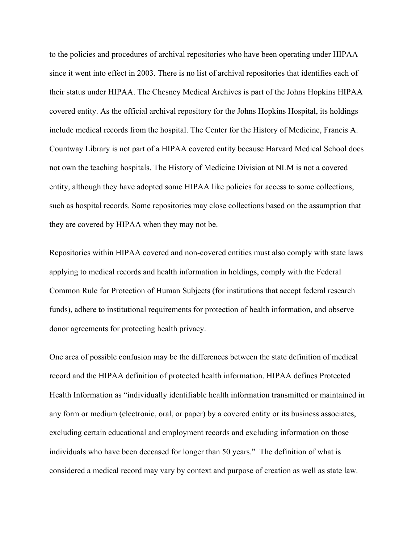to the policies and procedures of archival repositories who have been operating under HIPAA since it went into effect in 2003. There is no list of archival repositories that identifies each of their status under HIPAA. The Chesney Medical Archives is part of the Johns Hopkins HIPAA covered entity. As the official archival repository for the Johns Hopkins Hospital, its holdings include medical records from the hospital. The Center for the History of Medicine, Francis A. Countway Library is not part of a HIPAA covered entity because Harvard Medical School does not own the teaching hospitals. The History of Medicine Division at NLM is not a covered entity, although they have adopted some HIPAA like policies for access to some collections, such as hospital records. Some repositories may close collections based on the assumption that they are covered by HIPAA when they may not be.

Repositories within HIPAA covered and non-covered entities must also comply with state laws applying to medical records and health information in holdings, comply with the Federal Common Rule for Protection of Human Subjects (for institutions that accept federal research funds), adhere to institutional requirements for protection of health information, and observe donor agreements for protecting health privacy.

One area of possible confusion may be the differences between the state definition of medical record and the HIPAA definition of protected health information. HIPAA defines Protected Health Information as "individually identifiable health information transmitted or maintained in any form or medium (electronic, oral, or paper) by a covered entity or its business associates, excluding certain educational and employment records and excluding information on those individuals who have been deceased for longer than 50 years." The definition of what is considered a medical record may vary by context and purpose of creation as well as state law.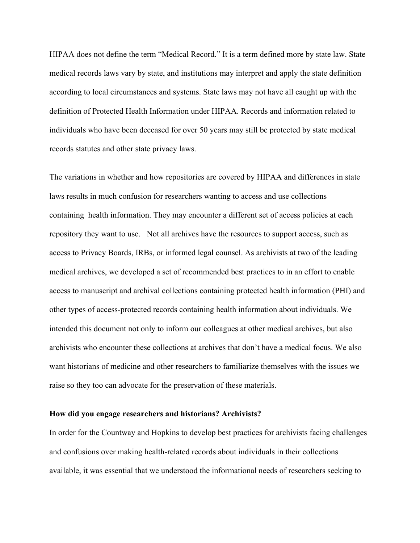HIPAA does not define the term "Medical Record." It is a term defined more by state law. State medical records laws vary by state, and institutions may interpret and apply the state definition according to local circumstances and systems. State laws may not have all caught up with the definition of Protected Health Information under HIPAA. Records and information related to individuals who have been deceased for over 50 years may still be protected by state medical records statutes and other state privacy laws.

The variations in whether and how repositories are covered by HIPAA and differences in state laws results in much confusion for researchers wanting to access and use collections containing health information. They may encounter a different set of access policies at each repository they want to use. Not all archives have the resources to support access, such as access to Privacy Boards, IRBs, or informed legal counsel. As archivists at two of the leading medical archives, we developed a set of recommended best practices to in an effort to enable access to manuscript and archival collections containing protected health information (PHI) and other types of access-protected records containing health information about individuals. We intended this document not only to inform our colleagues at other medical archives, but also archivists who encounter these collections at archives that don't have a medical focus. We also want historians of medicine and other researchers to familiarize themselves with the issues we raise so they too can advocate for the preservation of these materials.

### **How did you engage researchers and historians? Archivists?**

In order for the Countway and Hopkins to develop best practices for archivists facing challenges and confusions over making health-related records about individuals in their collections available, it was essential that we understood the informational needs of researchers seeking to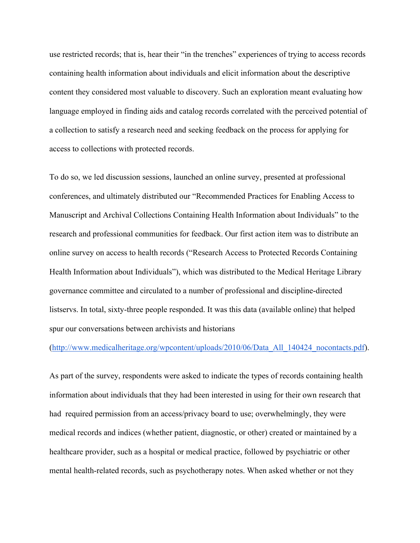use restricted records; that is, hear their "in the trenches" experiences of trying to access records containing health information about individuals and elicit information about the descriptive content they considered most valuable to discovery. Such an exploration meant evaluating how language employed in finding aids and catalog records correlated with the perceived potential of a collection to satisfy a research need and seeking feedback on the process for applying for access to collections with protected records.

To do so, we led discussion sessions, launched an online survey, presented at professional conferences, and ultimately distributed our "Recommended Practices for Enabling Access to Manuscript and Archival Collections Containing Health Information about Individuals" to the research and professional communities for feedback. Our first action item was to distribute an online survey on access to health records ("Research Access to Protected Records Containing Health Information about Individuals"), which was distributed to the Medical Heritage Library governance committee and circulated to a number of professional and discipline-directed listservs. In total, sixty-three people responded. It was this data (available online) that helped spur our conversations between archivists and historians

### (http://www.medicalheritage.org/wpcontent/uploads/2010/06/Data\_All\_140424\_nocontacts.pdf).

As part of the survey, respondents were asked to indicate the types of records containing health information about individuals that they had been interested in using for their own research that had required permission from an access/privacy board to use; overwhelmingly, they were medical records and indices (whether patient, diagnostic, or other) created or maintained by a healthcare provider, such as a hospital or medical practice, followed by psychiatric or other mental health-related records, such as psychotherapy notes. When asked whether or not they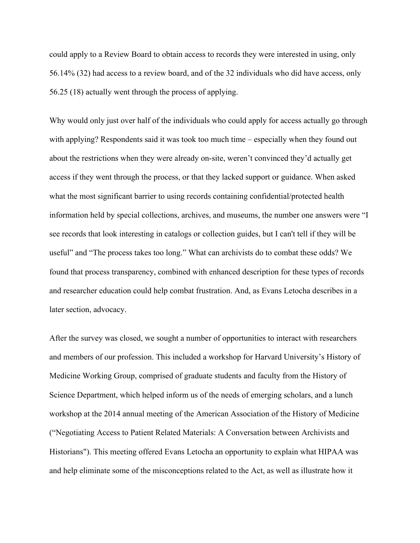could apply to a Review Board to obtain access to records they were interested in using, only 56.14% (32) had access to a review board, and of the 32 individuals who did have access, only 56.25 (18) actually went through the process of applying.

Why would only just over half of the individuals who could apply for access actually go through with applying? Respondents said it was took too much time – especially when they found out about the restrictions when they were already on-site, weren't convinced they'd actually get access if they went through the process, or that they lacked support or guidance. When asked what the most significant barrier to using records containing confidential/protected health information held by special collections, archives, and museums, the number one answers were "I see records that look interesting in catalogs or collection guides, but I can't tell if they will be useful" and "The process takes too long." What can archivists do to combat these odds? We found that process transparency, combined with enhanced description for these types of records and researcher education could help combat frustration. And, as Evans Letocha describes in a later section, advocacy.

After the survey was closed, we sought a number of opportunities to interact with researchers and members of our profession. This included a workshop for Harvard University's History of Medicine Working Group, comprised of graduate students and faculty from the History of Science Department, which helped inform us of the needs of emerging scholars, and a lunch workshop at the 2014 annual meeting of the American Association of the History of Medicine ("Negotiating Access to Patient Related Materials: A Conversation between Archivists and Historians"). This meeting offered Evans Letocha an opportunity to explain what HIPAA was and help eliminate some of the misconceptions related to the Act, as well as illustrate how it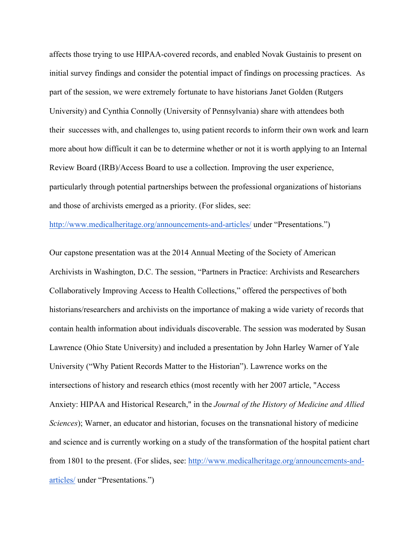affects those trying to use HIPAA-covered records, and enabled Novak Gustainis to present on initial survey findings and consider the potential impact of findings on processing practices. As part of the session, we were extremely fortunate to have historians Janet Golden (Rutgers University) and Cynthia Connolly (University of Pennsylvania) share with attendees both their successes with, and challenges to, using patient records to inform their own work and learn more about how difficult it can be to determine whether or not it is worth applying to an Internal Review Board (IRB)/Access Board to use a collection. Improving the user experience, particularly through potential partnerships between the professional organizations of historians and those of archivists emerged as a priority. (For slides, see:

http://www.medicalheritage.org/announcements-and-articles/ under "Presentations.")

Our capstone presentation was at the 2014 Annual Meeting of the Society of American Archivists in Washington, D.C. The session, "Partners in Practice: Archivists and Researchers Collaboratively Improving Access to Health Collections," offered the perspectives of both historians/researchers and archivists on the importance of making a wide variety of records that contain health information about individuals discoverable. The session was moderated by Susan Lawrence (Ohio State University) and included a presentation by John Harley Warner of Yale University ("Why Patient Records Matter to the Historian"). Lawrence works on the intersections of history and research ethics (most recently with her 2007 article, "Access Anxiety: HIPAA and Historical Research," in the *Journal of the History of Medicine and Allied Sciences*); Warner, an educator and historian, focuses on the transnational history of medicine and science and is currently working on a study of the transformation of the hospital patient chart from 1801 to the present. (For slides, see: http://www.medicalheritage.org/announcements-andarticles/ under "Presentations.")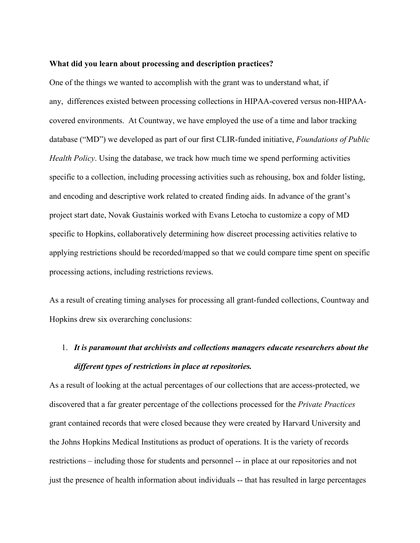#### **What did you learn about processing and description practices?**

One of the things we wanted to accomplish with the grant was to understand what, if any, differences existed between processing collections in HIPAA-covered versus non-HIPAAcovered environments. At Countway, we have employed the use of a time and labor tracking database ("MD") we developed as part of our first CLIR-funded initiative, *Foundations of Public Health Policy*. Using the database, we track how much time we spend performing activities specific to a collection, including processing activities such as rehousing, box and folder listing, and encoding and descriptive work related to created finding aids. In advance of the grant's project start date, Novak Gustainis worked with Evans Letocha to customize a copy of MD specific to Hopkins, collaboratively determining how discreet processing activities relative to applying restrictions should be recorded/mapped so that we could compare time spent on specific processing actions, including restrictions reviews.

As a result of creating timing analyses for processing all grant-funded collections, Countway and Hopkins drew six overarching conclusions:

## 1. *It is paramount that archivists and collections managers educate researchers about the different types of restrictions in place at repositories.*

As a result of looking at the actual percentages of our collections that are access-protected, we discovered that a far greater percentage of the collections processed for the *Private Practices* grant contained records that were closed because they were created by Harvard University and the Johns Hopkins Medical Institutions as product of operations. It is the variety of records restrictions – including those for students and personnel -- in place at our repositories and not just the presence of health information about individuals -- that has resulted in large percentages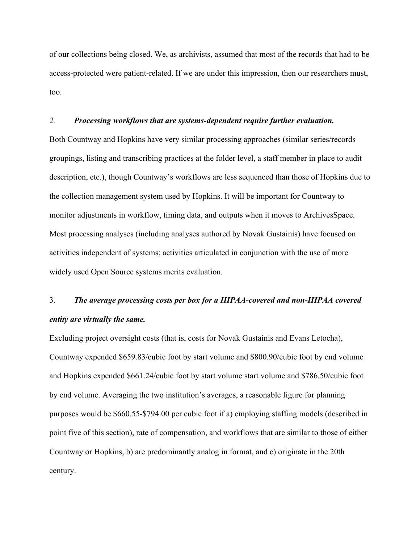of our collections being closed. We, as archivists, assumed that most of the records that had to be access-protected were patient-related. If we are under this impression, then our researchers must, too.

### *2. Processing workflows that are systems-dependent require further evaluation.*

Both Countway and Hopkins have very similar processing approaches (similar series/records groupings, listing and transcribing practices at the folder level, a staff member in place to audit description, etc.), though Countway's workflows are less sequenced than those of Hopkins due to the collection management system used by Hopkins. It will be important for Countway to monitor adjustments in workflow, timing data, and outputs when it moves to ArchivesSpace. Most processing analyses (including analyses authored by Novak Gustainis) have focused on activities independent of systems; activities articulated in conjunction with the use of more widely used Open Source systems merits evaluation.

## 3. *The average processing costs per box for a HIPAA-covered and non-HIPAA covered entity are virtually the same.*

Excluding project oversight costs (that is, costs for Novak Gustainis and Evans Letocha), Countway expended \$659.83/cubic foot by start volume and \$800.90/cubic foot by end volume and Hopkins expended \$661.24/cubic foot by start volume start volume and \$786.50/cubic foot by end volume. Averaging the two institution's averages, a reasonable figure for planning purposes would be \$660.55-\$794.00 per cubic foot if a) employing staffing models (described in point five of this section), rate of compensation, and workflows that are similar to those of either Countway or Hopkins, b) are predominantly analog in format, and c) originate in the 20th century.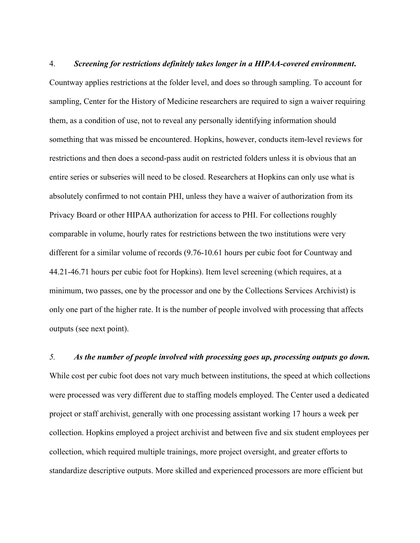4. *Screening for restrictions definitely takes longer in a HIPAA-covered environment***.** Countway applies restrictions at the folder level, and does so through sampling. To account for sampling, Center for the History of Medicine researchers are required to sign a waiver requiring them, as a condition of use, not to reveal any personally identifying information should something that was missed be encountered. Hopkins, however, conducts item-level reviews for restrictions and then does a second-pass audit on restricted folders unless it is obvious that an entire series or subseries will need to be closed. Researchers at Hopkins can only use what is absolutely confirmed to not contain PHI, unless they have a waiver of authorization from its Privacy Board or other HIPAA authorization for access to PHI. For collections roughly comparable in volume, hourly rates for restrictions between the two institutions were very different for a similar volume of records (9.76-10.61 hours per cubic foot for Countway and 44.21-46.71 hours per cubic foot for Hopkins). Item level screening (which requires, at a minimum, two passes, one by the processor and one by the Collections Services Archivist) is only one part of the higher rate. It is the number of people involved with processing that affects outputs (see next point).

*5. As the number of people involved with processing goes up, processing outputs go down.* While cost per cubic foot does not vary much between institutions, the speed at which collections were processed was very different due to staffing models employed. The Center used a dedicated project or staff archivist, generally with one processing assistant working 17 hours a week per collection. Hopkins employed a project archivist and between five and six student employees per collection, which required multiple trainings, more project oversight, and greater efforts to standardize descriptive outputs. More skilled and experienced processors are more efficient but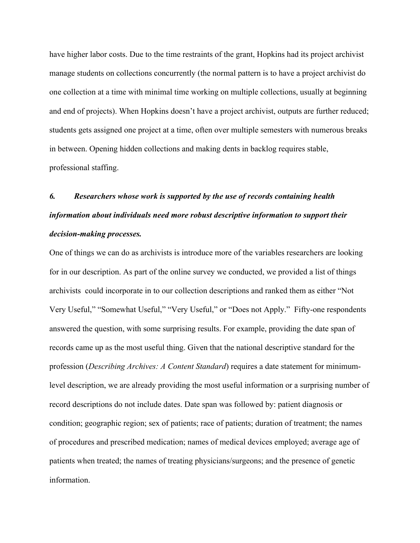have higher labor costs. Due to the time restraints of the grant, Hopkins had its project archivist manage students on collections concurrently (the normal pattern is to have a project archivist do one collection at a time with minimal time working on multiple collections, usually at beginning and end of projects). When Hopkins doesn't have a project archivist, outputs are further reduced; students gets assigned one project at a time, often over multiple semesters with numerous breaks in between. Opening hidden collections and making dents in backlog requires stable, professional staffing.

# *6. Researchers whose work is supported by the use of records containing health information about individuals need more robust descriptive information to support their decision-making processes.*

One of things we can do as archivists is introduce more of the variables researchers are looking for in our description. As part of the online survey we conducted, we provided a list of things archivists could incorporate in to our collection descriptions and ranked them as either "Not Very Useful," "Somewhat Useful," "Very Useful," or "Does not Apply." Fifty-one respondents answered the question, with some surprising results. For example, providing the date span of records came up as the most useful thing. Given that the national descriptive standard for the profession (*Describing Archives: A Content Standard*) requires a date statement for minimumlevel description, we are already providing the most useful information or a surprising number of record descriptions do not include dates. Date span was followed by: patient diagnosis or condition; geographic region; sex of patients; race of patients; duration of treatment; the names of procedures and prescribed medication; names of medical devices employed; average age of patients when treated; the names of treating physicians/surgeons; and the presence of genetic information.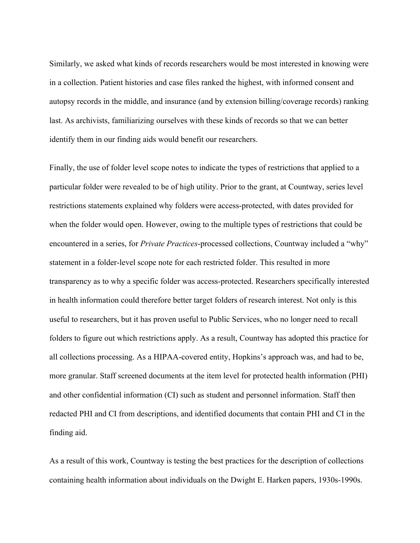Similarly, we asked what kinds of records researchers would be most interested in knowing were in a collection. Patient histories and case files ranked the highest, with informed consent and autopsy records in the middle, and insurance (and by extension billing/coverage records) ranking last. As archivists, familiarizing ourselves with these kinds of records so that we can better identify them in our finding aids would benefit our researchers.

Finally, the use of folder level scope notes to indicate the types of restrictions that applied to a particular folder were revealed to be of high utility. Prior to the grant, at Countway, series level restrictions statements explained why folders were access-protected, with dates provided for when the folder would open. However, owing to the multiple types of restrictions that could be encountered in a series, for *Private Practices*-processed collections, Countway included a "why" statement in a folder-level scope note for each restricted folder. This resulted in more transparency as to why a specific folder was access-protected. Researchers specifically interested in health information could therefore better target folders of research interest. Not only is this useful to researchers, but it has proven useful to Public Services, who no longer need to recall folders to figure out which restrictions apply. As a result, Countway has adopted this practice for all collections processing. As a HIPAA-covered entity, Hopkins's approach was, and had to be, more granular. Staff screened documents at the item level for protected health information (PHI) and other confidential information (CI) such as student and personnel information. Staff then redacted PHI and CI from descriptions, and identified documents that contain PHI and CI in the finding aid.

As a result of this work, Countway is testing the best practices for the description of collections containing health information about individuals on the Dwight E. Harken papers, 1930s-1990s.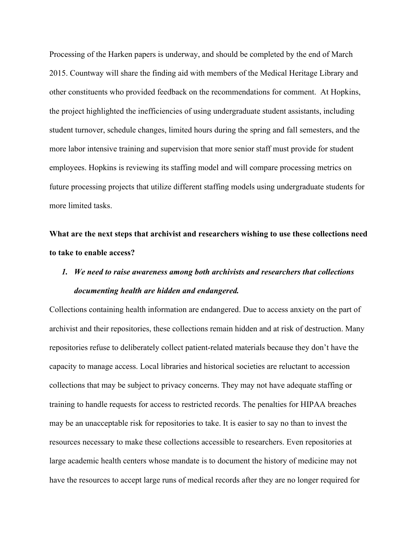Processing of the Harken papers is underway, and should be completed by the end of March 2015. Countway will share the finding aid with members of the Medical Heritage Library and other constituents who provided feedback on the recommendations for comment. At Hopkins, the project highlighted the inefficiencies of using undergraduate student assistants, including student turnover, schedule changes, limited hours during the spring and fall semesters, and the more labor intensive training and supervision that more senior staff must provide for student employees. Hopkins is reviewing its staffing model and will compare processing metrics on future processing projects that utilize different staffing models using undergraduate students for more limited tasks.

**What are the next steps that archivist and researchers wishing to use these collections need to take to enable access?** 

### *1. We need to raise awareness among both archivists and researchers that collections documenting health are hidden and endangered.*

Collections containing health information are endangered. Due to access anxiety on the part of archivist and their repositories, these collections remain hidden and at risk of destruction. Many repositories refuse to deliberately collect patient-related materials because they don't have the capacity to manage access. Local libraries and historical societies are reluctant to accession collections that may be subject to privacy concerns. They may not have adequate staffing or training to handle requests for access to restricted records. The penalties for HIPAA breaches may be an unacceptable risk for repositories to take. It is easier to say no than to invest the resources necessary to make these collections accessible to researchers. Even repositories at large academic health centers whose mandate is to document the history of medicine may not have the resources to accept large runs of medical records after they are no longer required for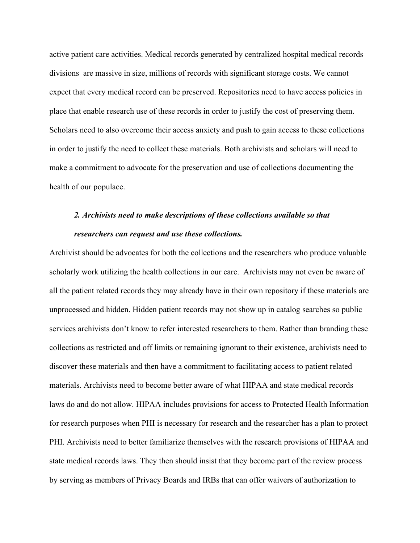active patient care activities. Medical records generated by centralized hospital medical records divisions are massive in size, millions of records with significant storage costs. We cannot expect that every medical record can be preserved. Repositories need to have access policies in place that enable research use of these records in order to justify the cost of preserving them. Scholars need to also overcome their access anxiety and push to gain access to these collections in order to justify the need to collect these materials. Both archivists and scholars will need to make a commitment to advocate for the preservation and use of collections documenting the health of our populace.

## *2. Archivists need to make descriptions of these collections available so that researchers can request and use these collections.*

Archivist should be advocates for both the collections and the researchers who produce valuable scholarly work utilizing the health collections in our care. Archivists may not even be aware of all the patient related records they may already have in their own repository if these materials are unprocessed and hidden. Hidden patient records may not show up in catalog searches so public services archivists don't know to refer interested researchers to them. Rather than branding these collections as restricted and off limits or remaining ignorant to their existence, archivists need to discover these materials and then have a commitment to facilitating access to patient related materials. Archivists need to become better aware of what HIPAA and state medical records laws do and do not allow. HIPAA includes provisions for access to Protected Health Information for research purposes when PHI is necessary for research and the researcher has a plan to protect PHI. Archivists need to better familiarize themselves with the research provisions of HIPAA and state medical records laws. They then should insist that they become part of the review process by serving as members of Privacy Boards and IRBs that can offer waivers of authorization to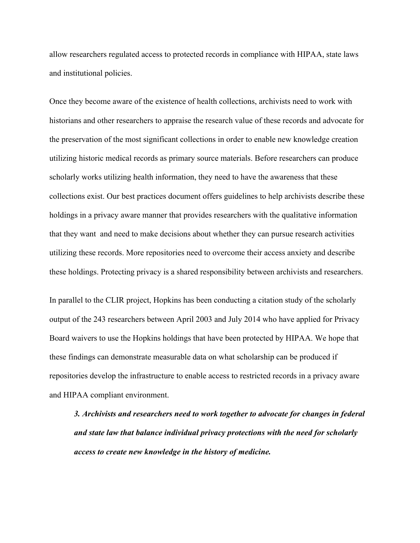allow researchers regulated access to protected records in compliance with HIPAA, state laws and institutional policies.

Once they become aware of the existence of health collections, archivists need to work with historians and other researchers to appraise the research value of these records and advocate for the preservation of the most significant collections in order to enable new knowledge creation utilizing historic medical records as primary source materials. Before researchers can produce scholarly works utilizing health information, they need to have the awareness that these collections exist. Our best practices document offers guidelines to help archivists describe these holdings in a privacy aware manner that provides researchers with the qualitative information that they want and need to make decisions about whether they can pursue research activities utilizing these records. More repositories need to overcome their access anxiety and describe these holdings. Protecting privacy is a shared responsibility between archivists and researchers.

In parallel to the CLIR project, Hopkins has been conducting a citation study of the scholarly output of the 243 researchers between April 2003 and July 2014 who have applied for Privacy Board waivers to use the Hopkins holdings that have been protected by HIPAA. We hope that these findings can demonstrate measurable data on what scholarship can be produced if repositories develop the infrastructure to enable access to restricted records in a privacy aware and HIPAA compliant environment.

*3. Archivists and researchers need to work together to advocate for changes in federal and state law that balance individual privacy protections with the need for scholarly access to create new knowledge in the history of medicine.*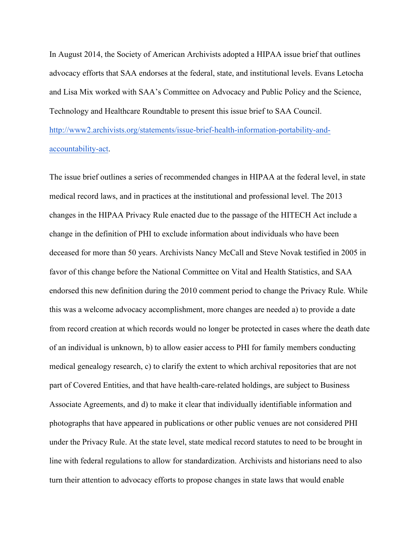In August 2014, the Society of American Archivists adopted a HIPAA issue brief that outlines advocacy efforts that SAA endorses at the federal, state, and institutional levels. Evans Letocha and Lisa Mix worked with SAA's Committee on Advocacy and Public Policy and the Science, Technology and Healthcare Roundtable to present this issue brief to SAA Council. http://www2.archivists.org/statements/issue-brief-health-information-portability-andaccountability-act.

The issue brief outlines a series of recommended changes in HIPAA at the federal level, in state medical record laws, and in practices at the institutional and professional level. The 2013 changes in the HIPAA Privacy Rule enacted due to the passage of the HITECH Act include a change in the definition of PHI to exclude information about individuals who have been deceased for more than 50 years. Archivists Nancy McCall and Steve Novak testified in 2005 in favor of this change before the National Committee on Vital and Health Statistics, and SAA endorsed this new definition during the 2010 comment period to change the Privacy Rule. While this was a welcome advocacy accomplishment, more changes are needed a) to provide a date from record creation at which records would no longer be protected in cases where the death date of an individual is unknown, b) to allow easier access to PHI for family members conducting medical genealogy research, c) to clarify the extent to which archival repositories that are not part of Covered Entities, and that have health-care-related holdings, are subject to Business Associate Agreements, and d) to make it clear that individually identifiable information and photographs that have appeared in publications or other public venues are not considered PHI under the Privacy Rule. At the state level, state medical record statutes to need to be brought in line with federal regulations to allow for standardization. Archivists and historians need to also turn their attention to advocacy efforts to propose changes in state laws that would enable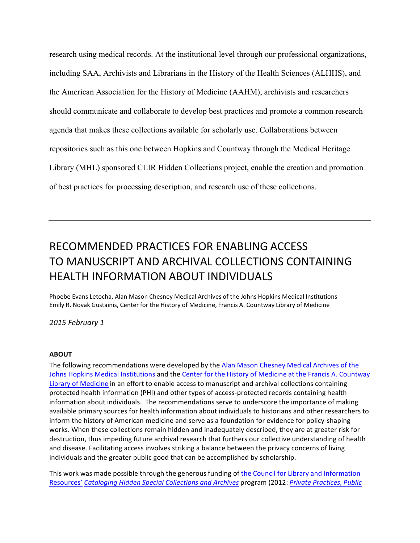research using medical records. At the institutional level through our professional organizations, including SAA, Archivists and Librarians in the History of the Health Sciences (ALHHS), and the American Association for the History of Medicine (AAHM), archivists and researchers should communicate and collaborate to develop best practices and promote a common research agenda that makes these collections available for scholarly use. Collaborations between repositories such as this one between Hopkins and Countway through the Medical Heritage Library (MHL) sponsored CLIR Hidden Collections project, enable the creation and promotion of best practices for processing description, and research use of these collections.

## RECOMMENDED PRACTICES FOR ENABLING ACCESS TO MANUSCRIPT AND ARCHIVAL COLLFCTIONS CONTAINING HEALTH INFORMATION ABOUT INDIVIDUALS

Phoebe Evans Letocha, Alan Mason Chesney Medical Archives of the Johns Hopkins Medical Institutions Emily R. Novak Gustainis, Center for the History of Medicine, Francis A. Countway Library of Medicine

#### *2015 February 1*

#### **ABOUT**

The following recommendations were developed by the Alan Mason Chesney Medical Archives of the Johns Hopkins Medical Institutions and the Center for the History of Medicine at the Francis A. Countway Library of Medicine in an effort to enable access to manuscript and archival collections containing protected health information (PHI) and other types of access-protected records containing health information about individuals. The recommendations serve to underscore the importance of making available primary sources for health information about individuals to historians and other researchers to inform the history of American medicine and serve as a foundation for evidence for policy-shaping works. When these collections remain hidden and inadequately described, they are at greater risk for destruction, thus impeding future archival research that furthers our collective understanding of health and disease. Facilitating access involves striking a balance between the privacy concerns of living individuals and the greater public good that can be accomplished by scholarship.

This work was made possible through the generous funding of the Council for Library and Information Resources' *Cataloging Hidden Special Collections and Archives* program (2012: *Private Practices, Public*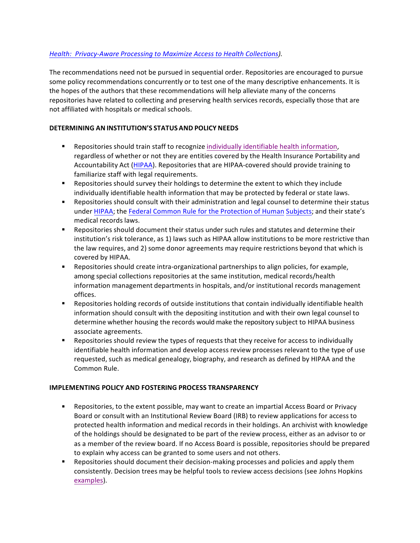### *Health: Privacy-Aware Processing to Maximize Access to Health Collections).*

The recommendations need not be pursued in sequential order. Repositories are encouraged to pursue some policy recommendations concurrently or to test one of the many descriptive enhancements. It is the hopes of the authors that these recommendations will help alleviate many of the concerns repositories have related to collecting and preserving health services records, especially those that are not affiliated with hospitals or medical schools.

### **DETERMINING AN INSTITUTION'S STATUS AND POLICY NEEDS**

- Repositories should train staff to recognize individually identifiable health information, regardless of whether or not they are entities covered by the Health Insurance Portability and Accountability Act (HIPAA). Repositories that are HIPAA-covered should provide training to familiarize staff with legal requirements.
- Repositories should survey their holdings to determine the extent to which they include individually identifiable health information that may be protected by federal or state laws.
- Repositories should consult with their administration and legal counsel to determine their status under HIPAA; the Federal Common Rule for the Protection of Human Subjects; and their state's medical records laws.
- Repositories should document their status under such rules and statutes and determine their institution's risk tolerance, as 1) laws such as HIPAA allow institutions to be more restrictive than the law requires, and 2) some donor agreements may require restrictions beyond that which is covered by HIPAA.
- **■** Repositories should create intra-organizational partnerships to align policies, for example, among special collections repositories at the same institution, medical records/health information management departments in hospitals, and/or institutional records management offices.
- Repositories holding records of outside institutions that contain individually identifiable health information should consult with the depositing institution and with their own legal counsel to determine whether housing the records would make the repository subject to HIPAA business associate agreements.
- Repositories should review the types of requests that they receive for access to individually identifiable health information and develop access review processes relevant to the type of use requested, such as medical genealogy, biography, and research as defined by HIPAA and the Common Rule.

### **IMPLEMENTING POLICY AND FOSTERING PROCESS TRANSPARENCY**

- Repositories, to the extent possible, may want to create an impartial Access Board or Privacy Board or consult with an Institutional Review Board (IRB) to review applications for access to protected health information and medical records in their holdings. An archivist with knowledge of the holdings should be designated to be part of the review process, either as an advisor to or as a member of the review board. If no Access Board is possible, repositories should be prepared to explain why access can be granted to some users and not others.
- Repositories should document their decision-making processes and policies and apply them consistently. Decision trees may be helpful tools to review access decisions (see Johns Hopkins examples).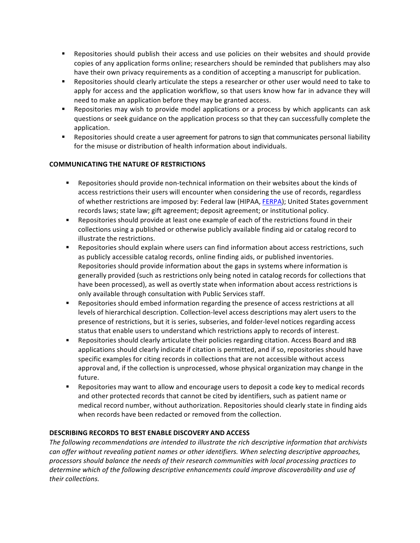- Repositories should publish their access and use policies on their websites and should provide copies of any application forms online; researchers should be reminded that publishers may also have their own privacy requirements as a condition of accepting a manuscript for publication.
- Repositories should clearly articulate the steps a researcher or other user would need to take to apply for access and the application workflow, so that users know how far in advance they will need to make an application before they may be granted access.
- Repositories may wish to provide model applications or a process by which applicants can ask questions or seek guidance on the application process so that they can successfully complete the application.
- Repositories should create a user agreement for patrons to sign that communicates personal liability for the misuse or distribution of health information about individuals.

### **COMMUNICATING THE NATURE OF RESTRICTIONS**

- Repositories should provide non-technical information on their websites about the kinds of access restrictions their users will encounter when considering the use of records, regardless of whether restrictions are imposed by: Federal law (HIPAA, FERPA); United States government records laws; state law; gift agreement; deposit agreement; or institutional policy.
- Repositories should provide at least one example of each of the restrictions found in their collections using a published or otherwise publicly available finding aid or catalog record to illustrate the restrictions.
- Repositories should explain where users can find information about access restrictions, such as publicly accessible catalog records, online finding aids, or published inventories. Repositories should provide information about the gaps in systems where information is generally provided (such as restrictions only being noted in catalog records for collections that have been processed), as well as overtly state when information about access restrictions is only available through consultation with Public Services staff.
- Repositories should embed information regarding the presence of access restrictions at all levels of hierarchical description. Collection-level access descriptions may alert users to the presence of restrictions, but it is series, subseries, and folder-level notices regarding access status that enable users to understand which restrictions apply to records of interest.
- § Repositories should clearly articulate their policies regarding citation. Access Board and IRB applications should clearly indicate if citation is permitted, and if so, repositories should have specific examples for citing records in collections that are not accessible without access approval and, if the collection is unprocessed, whose physical organization may change in the future.
- Repositories may want to allow and encourage users to deposit a code key to medical records and other protected records that cannot be cited by identifiers, such as patient name or medical record number, without authorization. Repositories should clearly state in finding aids when records have been redacted or removed from the collection.

### **DESCRIBING RECORDS TO BEST ENABLE DISCOVERY AND ACCESS**

The following recommendations are intended to illustrate the rich descriptive information that archivists *can* offer without revealing patient names or other identifiers. When selecting descriptive approaches, processors should balance the needs of their research communities with local processing practices to determine which of the following descriptive enhancements could improve discoverability and use of *their collections.*